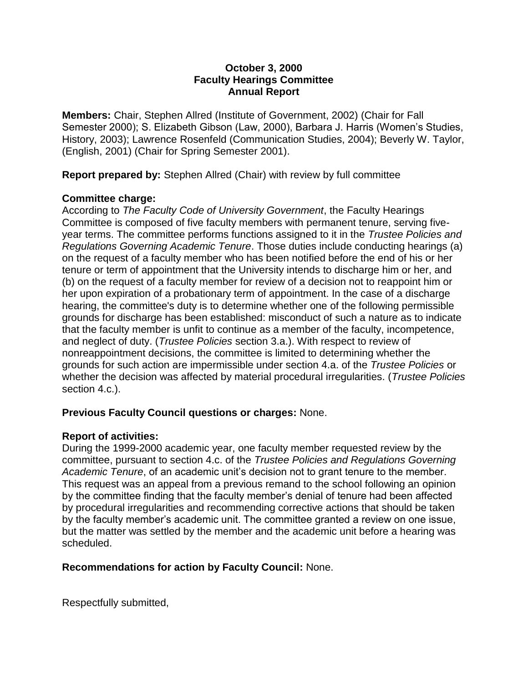### **October 3, 2000 Faculty Hearings Committee Annual Report**

**Members:** Chair, Stephen Allred (Institute of Government, 2002) (Chair for Fall Semester 2000); S. Elizabeth Gibson (Law, 2000), Barbara J. Harris (Women's Studies, History, 2003); Lawrence Rosenfeld (Communication Studies, 2004); Beverly W. Taylor, (English, 2001) (Chair for Spring Semester 2001).

**Report prepared by:** Stephen Allred (Chair) with review by full committee

### **Committee charge:**

According to *The Faculty Code of University Government*, the Faculty Hearings Committee is composed of five faculty members with permanent tenure, serving fiveyear terms. The committee performs functions assigned to it in the *Trustee Policies and Regulations Governing Academic Tenure*. Those duties include conducting hearings (a) on the request of a faculty member who has been notified before the end of his or her tenure or term of appointment that the University intends to discharge him or her, and (b) on the request of a faculty member for review of a decision not to reappoint him or her upon expiration of a probationary term of appointment. In the case of a discharge hearing, the committee's duty is to determine whether one of the following permissible grounds for discharge has been established: misconduct of such a nature as to indicate that the faculty member is unfit to continue as a member of the faculty, incompetence, and neglect of duty. (*Trustee Policies* section 3.a.). With respect to review of nonreappointment decisions, the committee is limited to determining whether the grounds for such action are impermissible under section 4.a. of the *Trustee Policies* or whether the decision was affected by material procedural irregularities. (*Trustee Policies* section 4.c.).

# **Previous Faculty Council questions or charges:** None.

# **Report of activities:**

During the 1999-2000 academic year, one faculty member requested review by the committee, pursuant to section 4.c. of the *Trustee Policies and Regulations Governing Academic Tenure*, of an academic unit's decision not to grant tenure to the member. This request was an appeal from a previous remand to the school following an opinion by the committee finding that the faculty member's denial of tenure had been affected by procedural irregularities and recommending corrective actions that should be taken by the faculty member's academic unit. The committee granted a review on one issue, but the matter was settled by the member and the academic unit before a hearing was scheduled.

# **Recommendations for action by Faculty Council:** None.

Respectfully submitted,